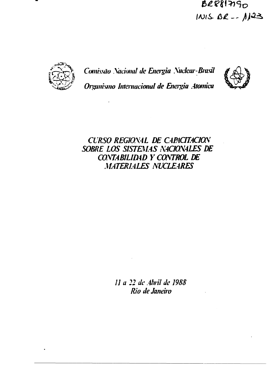# BRESINGO  $101582 - 1123$



*Comissão Xacional de Energia Xuclcar-Brasü Organismo Internacional de Energia Atômica*



*CURSO REG10X4L DE C4R4CITAC1OX SOBRE LOS SISTEMAS X4C1OX4LES DE C0XTABILID4D Y COXTROL IE MATERIALES NÜCLE4RES*

> *11 a 22 de Abril de 198S Rio de Janeiro*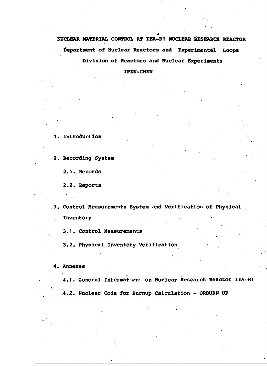**NUCLEAR MATERIAL CONTROL AT IEA-R1 NUCLEAR RESEARCH REACTOR Department of Nuclear Reactors and Experimental Loops Division of Reactors and Nuclear Experiments**

**IPEN-CNEN**

**1. Introduction**

**2. Recording System**

**2.1. Records**

**2.2. Reports**

**3. Control Measurements System and Verification of Physical Inventory**

**3.1. Control Measurements**

**3.2. Physical Inventory Verification**

**4. Annexes . .**

**4.1. General Information: on Nuclear Research Reactor IEA-R1 .4.2. Nuclear Code for Burnup Calculation - ORBURN UP**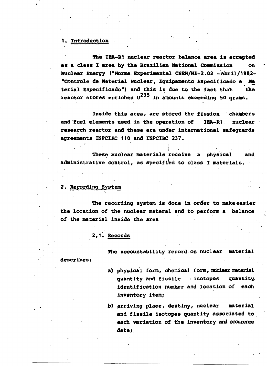#### 1. Introduction

**The IEA-R1 nuclear reactor balance area is accepted as a class I area by the Brazilian National Commission on Nuclear Energy ("Norma Experimental CNEN/NE-2.02 - Abril/Í982- "Controle de. Material Nuclear, Equipamento Especificado e Ma terial Especificado") and this is due to the fact that the** reactor stores enriched U<sup>235</sup> in amounts exceeding 50 grams.

**Inside this area, are stored the fission chambers and fuel elements used in the operation of IEA-R1. nuclear research reactor and these are under international safeguards agreements INFCIRC 110 and INPCIRC 237.**

**These nuclear materials receive a physical and administrative control, as specified to class I materials.**

#### **2. Recording System**

**The recording system is done in order to make easier the location of the nuclear materal and to perform a balance of the material inside the area**

**2,1. Records**

**The accountability record on nuclear material**

**describes:**

- **a) physical form, chemical form, nuclear material quantity and fissile . isotopes quantity, identification number and location of each inventory item;**
- **b) arriving place, destiny, nuclear material and fissile isotopes quantity associated to each variation of the inventory and occuxence date;**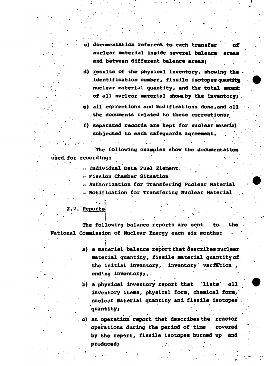- c) documentation referent to each transfer **nuclear material inside several balance areas and between different balance areas;**
- **d) results of the physical inventory, showing the • identification number, fissile isotopes quantity : nuclear material quantity, and the total anoint** of all nuclear material shown by the inventory;
- **e) all corrections and modifications done,and all \* the documents related to these corrections;**
- **f) separated records are kept for nuclear material subjected to each safeguards agreement.' .**

**The following examples show the documentation used, for recordings •.'••••.**

- **• - Individual Data Fuel Element .**
- **Fission Chamber Situation**
- **Authorization for Transferimj Nuclear Material**
- **Notification for Transfering Nuclear Material . •**
- **2.2. Reports**

i

**The following balance reports are sent to - the National Commission of Nuclear Energy each six monthst**

- **a) a material balance report that describes nuclear** material quantity, fissile material quantity of **the initial inventory, inventory' varration ,** ending inventory;
- **b) a physical inventory report that lists all inventory items, physical form, chemical form,' nuclear material quantity and fissile isotopes . quantity; .. .**

**. c) an operation report that describes the reactor operations during the period of time covered by the report, fissile isotopes burned up and** produced;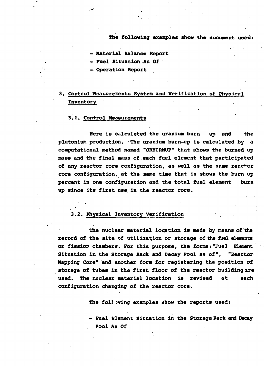**The following examples show the document used:**

**Material Balance Report**

**Fuel Situation As Of**

**Operation Report**

### **3. Control Measurements System and Verification of Physical Inventory**

#### **3.1. Control Measurements**

**Here is câlculeted the uranium burn up and the Plutonium production. The uranium burn-up is calculated by a computational method named "ORBURNUP" that shows the burned up mass and the final mass of each fuel element that participated of any reactor core configuration, as well as the same reactor core configuration, at the same time that is shows the burn up percent in one configuration and the total fuel element burn up since its first use in the reactor core.**

#### **3.2. Physical Inventory Verification**

**Die nuclear material location is made by means of the record of the site of utilization or storage of the fuel elements or fission chambers. For this purpose, the forms:"Fuel Element Situation in the Storage Rack and Decay Pool as of", "Reactor Mapping Core" and another form for registering the position of storage of tubes in the first floor of the reactor building are used. The nuclear material location is revised at each configuration changing of the reactor core.**

**The fol] wing examples uhow the reports used:**

**- Fuel Element Situation in the Storage Rack and Decay Pool As Of**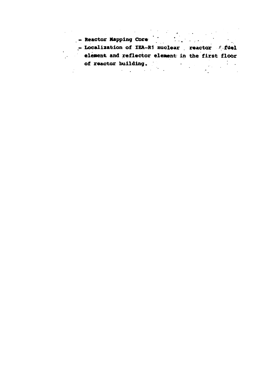| $\mathcal{L}^{\text{max}}_{\text{max}}$ , where $\mathcal{L}^{\text{max}}_{\text{max}}$<br>- Reactor Mapping Core |
|-------------------------------------------------------------------------------------------------------------------|
| - Localization of IEA-R1 nuclear reactor fuel                                                                     |
| element and reflector element in the first floor                                                                  |
| of reactor building.                                                                                              |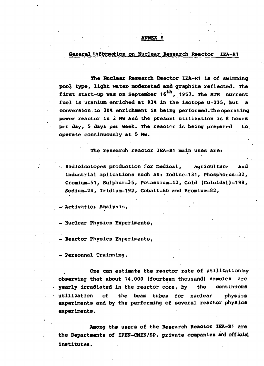#### **ANNEX I**

#### General information on Nuclear Research Reactor IEA-R1

The Nuclear Research Reactor IEA-R1 is of swimming pool type, light water moderated and graphite reflected. The first start-up was on September 16<sup>th</sup>, 1957. The MTR current fuel is uranium enriched at 93% in the isotope U-235, but a conversion to 20% enrichment is being per formed. The operating power reactor is 2 Mw and the present utilization is 8 hours per day, 5 days per week. The reactor is being prepared to. operate continuously at 5 Mw.

The research reactor IEA-R1 main uses are:

- Radioisotopes production for medical, agriculture and industrial aplications such as: Iodine-131, Phosphorus-32, Cromium-51, Sulphur-35, Potassium-42, Gold (Coloidal)-198, Sodium-24, Iridium-192, Cobalt-60 and Bromium-82,

- Activation Analysis,

- Nuclear Physics Experiments,

- Reactor Physics Experimente,

- Personnal Trainning.

One can estimate the reactor rate of utilization by observing that about 14.000 (fourteem thousand) samples are yearly irradiated in the reactor core, by the continuous utilization of the beam tubes for nuclear physics experiments and by the performing of several reactor physics experiments.

Among the users of the Research Reactor IEA-R1 are the Departments of IPEN-CNEN/SP, private companies and official institutes.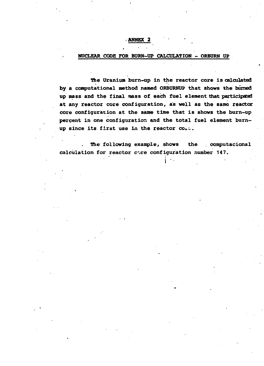#### **•ANNEX 2**

#### **NUCLEAR CODE FOR BURN-UP CALCULATION - ORBURN UP**

**The Uranium burn-up in the reactor core is calculated by a computational method named ORBURNUP that shows the burned up mass and the final mass of each fuel element that participated at any reactor core configuration, as well as the same reactor core configuration at the same time that is shows the burn-up percent in one configuration and the total fuel element burnup since its first use in the reactor**

The following example, shows the computacional calculation for reactor core configuration number 147.

i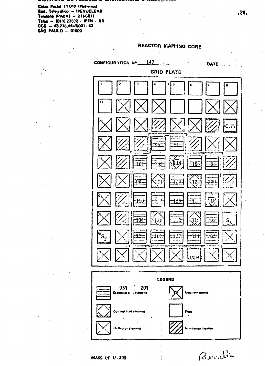Caixa Postal 11 049 (Pinheiros) End, Telegráfico: - IPENUCLEAR Telefone (PABX) - 211-6011 Telex - (011) 23592 - IPEN - 8R  $CGC - 43.778.44\frac{100001 - 43}{ }$ SÃO PAULO - 01000

÷



REACTOR MAPPING CORE

 $\mathbf{r}$ 

Berndt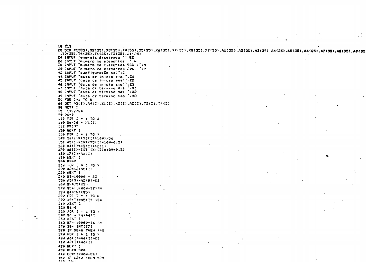$10$  $0.3$ ED DIN X1(35),X2(35),A2(35),X3(35),X5(35),X6(35),X7(35),X7(35),X9(35),A1(35),A2(35),A3(35),A4(35),A5(35),A2(35),A2(35),A3(35),A3(35),A3(35),A3(35),A3(35),A3(35),  $172(35), 74(35), 75(35), 75(35), 15(35)$ 24 INPUT "energia dissipada : ":E2 26 INºUT "numero de elementos : "IN-IS INPUT Tousero de elementos 93% ('INT 30 INPUT "numero de elementos 20% : "1P 42 INPUT "configuração ns:";C 44 INPUT "data de inicio dia:".Z1 45 INPUT "data ce inicio mes: " Z2 46 INPUT "data de inicio ano: "; ZG 42 INPUT "Hata de termino dia: ";X1 49 INFUT Teaca ca término mesi 172 49 INPUT "data de término ano." (X3) **SC FOR INITO N** 60 GET AB(I),A4(I),X1(I),X2(I),A2(I),T2(I),T4(I) **94 NEXT I** 85 31-E2/24 98 0678  $133.537$   $I = 1.70$   $N$ 110 De=Dé + X1(I) 112 PRINT 120 NEXT 1 130 FOR I = 1 TO V 501109514(1)1X)=(1)32(1)841  $150 A5(1) + 2N7(X3(1) + 100 + 0.5)$ 160 X4(I)=X3(I)+X2(I)  $170$  A6(I)=INT (X4(I)#100+0.5)  $182 A7(7) = A2(7)$ 190 NEXT I 9=58 695  $210$  FOR  $2 = 1$  TO N. 220 B2=S2+AC(I) 230 NEXT I **140 23-10000 - 82** 250 AS(N)=AE(N)+33 140 82=32+83 270 SC+(10000-32)/N 290 B4=167(BS) 290 FOR I =  $1$  TO N  $339.69(1) = AS(1) + 54$ 2:3 NEXT 2 320 Bost  $350$  FOR I + 1 TO 9  $340.86 = 56 + A6(7)$ GEO NEXT I 060 87 \* 00000-961 N 370 98\* INT(87) 280 IF 38=0 THEN 440 390 FOR I = 1 TO N. 400 A6(I)=A6(I)+83  $410 A7(1) = A6(1)$ 420 NEXT I 430 6570 324  $440 E3 = (10000 - B6)$ ASO IF EGAN THEN SON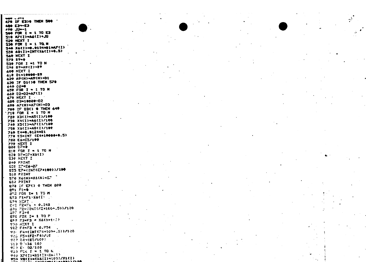**Anti-Albe** 476 IF E3) 6 THEN 500 480 E3-E3  $1 - 45$   $69$ 500 FOR I = 1 TO E3 510 AZ(I)=A6(I)+JU S20 NEXT I 530 FOR I = 1 TO. N 540 X&(I)=0.0124=01=A7(I) 550 A81I)=INT(X6(I)+0.5) I TX3H 962 570 89=0 530 FOR I =1 TO N  $592 87 = A9(1) + B9$ **See NEXT I** 610 01=10000-89 620 A9(N)=A9(N)+D1 630 IF Di()0 THEN 570 640 03=0 650 FOR I = 1 TO N 660 02=02+A7(I) 679 NEXT I -59-99901=EQ 682 A90 A7(N)=A7(N)+03 **700 IF D3() O THEN 640** 719 FOR I = 1 TO N 728 X3(1)=A5(1)/100 734 X4(1)=A6(1)/100 740 X5(I)=A7(I)/100 750 X5(I)=A9(I)/100 740 54-0.0124+81 779 ES=INT (E4\*10000+0.5) 780 E6=23/100 **790 NEXT I**  $999 02 = 9$ Sie FOR  $Z = 1$  TO N S20 D7=C7+X5(I) **S34 NEXT I 240 PRINT**  $220 - 27 = 26 - 37$ SSS E7=(INT(E7+100))/100 **SER PRINT** 570 X6(N)=X5(N)+E7 **692 PRINT** 678 IF E74) & THEN 800  $821 \, 27 = 0$ 292 FOR 1= 1 TO M 573 Fi=Fi-X6(I) **C94 NEXT ..** E-2 F2=F1 + 0.348 896 72-(INT(F2+100+,5))/100 597 53=0 898 FOR I= 1 TO P 659 F3\*F3 + X6(N+1-1) **I TXEN 607** FC2 F4=F3 \* 0.924 93. F4=(INT(F4=100+.5))/100 905 F5=(F2+F4)/10 503 04=(82/100) 510 558 100 93.5 Et 02/100 933 FOR I = 1 TO N 948 XF(I)=X1(I)-X6(?? 950 X8(I)=(X6(I)=100)/X1(I)  $5.521$ 



÷,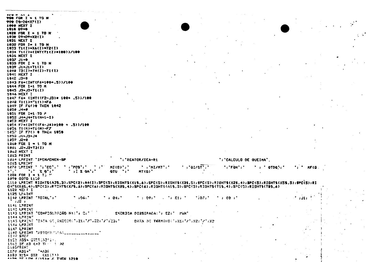22 M. A.L.A **980 FOR I = 1 TO N** 990 D9=08+X7(I) **1600 NEXT I** 1610 05=0 1820 FOR I = 1 TO N 1636 D9=D9+X2(I) 1031 NEXT I 1832 FOR 1= 1 TO N 1033 Ti(I)=X6(I)=T2(I) 1034 Ti(I)=(INT(Ti(I)+100))/100 1036 NEXT I  $1037$   $J1=0$ 1939 FOR  $I = 1$  TO N  $1039$   $J1=J1+T1(I)$  $1010 73(1) = 74(1) - 71(1)$ 1041 NEXT I  $1842 - 3558$ 1943 F6=(INT(F6\*100+.5))/100 1044 FOR I=1 TO M 1945 J3=J3+T1(I) 1946 NEXT I 9027.((2, +991 #(EL-S3))THI) =33 7892  $10-3$  T1(1)="1(1)+F6 1049 IF F64)@ THEN 1042 5=1. 5561 1951 FOR I=1.TO P 1852 J4=J4+T1(N+1-I) 1953 NEXT I  $1054 F7 = 1871 (F4 - 34) + 100 + 0.5$ 1856 TI(N)=T1(N)+F7 1057 IF F7() @ THEN 1050 **AL+EL=IL 2251**  $1925$   $J2=0$ 1940 FOR I = 1 TO N 1051 JZ=J2+T3(I) 1062 NEXT I **1233 PRINT** 1054 LPRINT "IPEN/CHEN-SP ': 'REATOR/IEA-R1 '; 'CALCULO DE QUEIMA'. 1055 LPRINT 1979 LREINT ' '1'EC'.'  $\therefore$  PDS';  $\therefore$  $MT(G)$ ,  $\cdot$   $\cdot$  mi/mt';'  $\cdot$   $\cdot$   $\cdot$   $\cdot$   $\cdot$   $\cdot$   $\cdot$  $\cdot$  ,  $\cdot$  FON  $\cdot$  ,  $\cdot$  $\cdot$  ,  $\cdot$  atba $\cdot$ ,  $\cdot$  $\mathbf{r} \cdot \mathbf{r}$  $\frac{1}{2}$  ;  $\frac{1}{2}$   $\frac{1}{2}$   $\frac{1}{2}$   $\frac{1}{2}$   $\frac{1}{2}$  $\mathbf{y}$  $QTU$   $\rightarrow$   $\rightarrow$   $\rightarrow$  $MT(G)$ 1383 FOR I = 1 TJ  $''$ 1979 60TO 1150 1110 LPRINT RIGHT5(A35.3);SPC(2);A4(I);SPC(5);RIGHT5(X15,6);SPC(5);RIGHT5(X35,5);SPC(5);RIGHT5(X25,4);SPC(5);RIGHT5(X55,5);SPC(5);RI GHTS(X65,4);SPC(3);RTCHTS(X25,6);SPC(6);RIGHTS(X85,4);SPC(6);RIGHTS(A15,5);SPC(5);RIGHTS(T15,4);SPC(5);RIGHTS(T95,6) 1129 NEIL I 1125 LPAINT  $\cdot$  :06;  $\cdot$ 1140 LPRINT "TOTAL":"  $\cdot$  . Di.  $\cdot$  $1.1991$   $1.1111$ **TIDELY**  $\cdot$  , os  $\cdot$  . ا 11 د → 22→ 1141 LPRINT **1142 LFRINT** 1143 LPRINT "CONFIGURAÇÃO NEL"; C:" SNERGIA DISSIPADA:"; 52;" MWH' 1144 LPRINT 1145 LPAINT TOATA OF INICIBITIZ1:"/".ZZ:"/":Z3:" DATA DE TERMINO: "IX1: "/"IX2: "/"IX2 **LIPS LPRINT** 1147 LPRINT 1148 LPRINT "ASSIMATIONILLLLLL 1149 STOP indo assa dubbiazoria.  $1140$  IF A3 (=3  $\Pi$   $\longrightarrow$  32 1165frint.  $4.35$ 1170 A35=° 1130 X15= STR (X1(3)) AASS VE LEW PUICLE & THEN 1210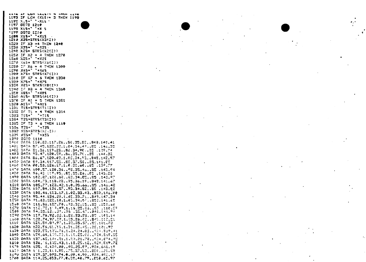AAPA AP LEIS SAASTIN WILDER LATE 1193 IF LEN (X19)= 3 THEN 1198  $1195$   $X_4$   $54$   $Y_5$   $X_1$   $Y_6$   $Y_7$ 1197 GOTO 1210 1198 X15=' '+X S 1199 8970 1210  $1200$   $X15 = 7 + X15$ 1210 X35=57RS(X3(I)) 1228 IF X3 =4 THEN 1240  $1230$   $X35 = 1 + X35$  $1240 X25 = STRS(X2(2))$ 1250 IF X2 = 4 THEN 1270 1260 X23=' '+X21 1270 X65= STRS(X6(I)) 1280 IF X6 = 4 THEN 1300 1290 X45=' '+X65 1300 X75= STRS(X7(I)) 1310 IF X7 = 6 THEN 1330 1320 X75=' '+X75 1330 X21= STRS(X8(I)) 1340 IF X8 = 4 THEN 1360 "326 X23=, .+X53 1360 A15= STRS(A1(I)) 1370 IF A: = 5 THEN 1381  $1330$   $A13 = 7 + A15$ 1391 T15=STR5(T1(I)) 1382 IF 71 = 4 THEN 1364  $1333 715*'' 7+715$ 1354 T35=3TRS(T3(I)) 1335 IF T3 = 6 THEN 1110  $1336$   $735 = 135$ 1388 XIS=STR\$(XI\I})  $1335 X55 = 14 X55$ 1333 8070 1110 1400 DATA 110,83.117.26,.50,35.82,.848.140.41 1481 047A 57,45,122,32,1,04,34,43,.85 ,146,35 1402 0ATA 51,36,119,23,.86,34,90,.85 ,139,74 1403 DATA 93,47,120.59,.86,35,7(..85 ,144.32 1484 DATA 86,67,120,03,1,05,34,93,,845,142,97 1450 DATA 89,34,117,53,,85,37,58,,85,141,85 1960 DATA 80,53,126.17,1.0.32,60,185 ,139.77 1470 DATA 100,57,120,36,.98,35.46,.85 ,143,94 1408 0ATA 96,40.117,95,.85,05.26,.80 ,140.28 1490 DATA 102.87.120.68..83.34.85..85 .143.97 1500 DATA (184,73,118.08,.75,36.19,.848,141.67 1510 DATA 105.77.123.42.1.0.35.66..S5 .146.48 1520 QATA 107,84,121.57,.95,34,52,.95 ,143.82 1530 DATA 108,46,123.17,1.02,33.43,,830,146,00 1540 DATA 95,44,124,20,1,02,33,71,.843,147,34 1550 DATA 91,63.122.19.1.05.34.07..850.141.65 1560 0ATA 111.56.127.70..93.32.15..85 .150.60 1570 DATA 112.73,107,49,1.16,23.86,195 ,160.59 1580 DATA 94.35,12:127,176 ,35.47,1845,144.94 tIP0 DATA 119,76,92,86,1,28,23,23,.85 ,103,14 1500 DATA 120,74,97139,1128,26102,1546,112121 1610 DATA 121.54.81.97.1.32.35.57..95.101.73 1320 DATA 122,53,61,19,1,21,35,45,,35,101,93 1530 0ATA 123.55.130.76.1.24.24.03.1924.539.41 1640 CATA 124,64,105.50,1,19,25.03.1924,859.85 1630 DATA 127,65,141,21,1,20,21,78,1924,874,92 1660 DATA 126, 6,135,43,1,19,25,12,,924,869,72 1470 DATA 125, 5,134,28,,95,25,87,,924,868,19 1533 DATA 11:23,111.95, 075,37,53, 050,033.80 1690 DATA 129, 37, 093.74.0.00, 4.90, .924, 492.17 1708 DATA 114.25.053.77.0.20.40.79.1250.62.97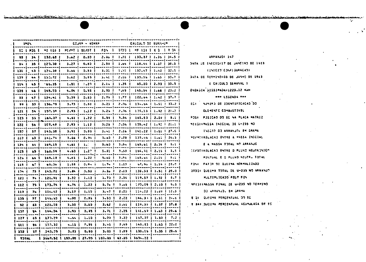CALCULO DE BURNHUR **IPEN** SPOR - GELCA BO L POS 1 ME LG3 1 MEZME E DIZOT 1 FON 1 GIOT 1 ME LG3 1 C 0 1 F 0A 38 | 34 | 132.65 | 3.62 | 0.30 | 2.36 1 1.31 1 130.37 1 1.36 1 34.5 . . . . . . . . . . . . . . . . . . ian na baile na an baile na caona baile an caona an amachais an comaid a gan na c  $3.27$   $1$   $0.33$   $1$ 2.59 | 1.56 | 118.44 | 1.37 | 38.3 |  $34$   $1$   $35$   $1$   $122.$   $33$   $1$ وللمستقط أترب وأحمدها ومستحدث والمتحدة والمتحدث والمتحددة المحمد والمنادي  $3.31 \n1.31 \n1.32.47 \n1.42 \n1.33.5$ 134.38 1 134.38 1  $3.56$   $1$   $2.33$   $1$ .....| -----| ----------|  $-3.41 + 2.16 + 132.56 + 1.43 + 32.7$  $133$   $\pm$  44  $\pm$  152,72  $\pm$  $3.62$   $1$   $3.33$   $1$ . . . . . . . . . . . 1 -------------arres i annoni i averes persones i averes i averes. 2.19 1 1.35 1 55.00 1 2.03 1 33.5 1  $1161.451.65.351$  $1.5111.201$ ------------------------3.33 1 2.43 2 145.54 1 1.66 1 23.2 1  $-133$   $1$   $-6$   $1$   $143$ ,  $23$   $1$ 4.04 | 0.93 | were alwarded (was alwarded ) and always and the formulation of the first state of the state of the state of t أحجوه مستشمر أروم ووما ومومون المصدم ومصدق المتوجب وممر  $2.75$  | 1.77 | 122.54 | 1.42 | 37.7 |  $-33$   $-47$   $-124$ , 41  $+$  $3.39$  |  $2.33$  | ----•------------wa a a a a baasan a a a a b  $3, 23$  |  $2, 35$  |  $13, 54$  |  $1, 51$  |  $33, 2$  | **33 1 53 1 136.70 1**  $3.73 \t1 0.331$ un aya | awa awa a | aga awa u ag | awa awa f aga a sa 3.25 1 2.36 1 135.33 1 1.92 1 21.2 1 121 1 54 1 197-39 1  $2.93$   $1.12$  1 . . . . . . . 1 . 22 met 1 – 22 met 1 – 22 met 2 – 22 met 2 – 22 met 2 – 22 met 2 – --------بناء ويتمرك والمستحدة  $5.59$  |  $3.54$  |  $165.53$  |  $2.04$  |  $8.1$  | 123 | 55 1 163.07 |  $4.611$   $1.221$ . . . . . . . . . . . . . . . . . . . . . . . . **.** . .  $122$  | 56 | 107.42 | 2.93 i 1.12 i  $3:24:1$   $2:34:1$   $1:35:42:1$   $1:32:1:21:1$ iggennag | aannavag | aannavag | enn maua | aannavaana | aannavi aannava | -----------------47 | 143.35 | . 3.93 i . 3.33 i  $3.41$   $1$   $2.16$   $1$   $141.22$   $11.51$   $127.6$   $1$  $1321$ --------------<del>--------</del>-المستحدث والمراقب والمستحدث  $3.53 \pm 2.23 \pm 137.46 \pm 1.61 \pm 26.3$  $1121 - 531 - 141.741$  $3.56$   $1$   $2.34$   $1$ ---------------------------------------والمستوم سمر -------- $126$  i  $54$  i  $159-15$  i  $4-61$  i  $1-1$ 5.63 | 3.54 | 165.61 | 2.39 | 5.1 | ----- I ------- I --------- I ------ I -----125 | 55 | 163.59 | 4.60 | 1.27 | 5.31 | 3.53 | 154.32 | 2.15 | 3.5 والمتواطن والمستوات . – – – – 1 – – – – – – 1 – . 125 | 65 | 169.28 |  $6.6111.221$ 5.60 | 3.54 | 165.64 | 2.09 | 9.1 | المستمدم والمستقرق والمستقرق والمستقرقات 115 | 67 | 69.06 | 1.55 | 0.94 |  $1.74 + 1.10 +$  $-57.95 + 1.59 + 28.0$ auwa kawa lawawa wa l in a man a mar an an an a 1.104 1. 73 1. 140.71 1. 3.84 1. 0.93 1  $3.35$   $1$   $2.13$   $1$   $133.53$   $1$   $1.51$   $1$   $23.5$   $1$ الممتصب الممستمر  $3.70 \pm 2.34 \pm 119.57 \pm 1.32 \pm 8.7 \pm 1.7$ ! 123 | 74 | 121.91 |  $3.32 \pm 1.12 \pm 1$  $4.74 + 2.22 +$ 1 112 1 25 1 123.74 1  $5.7<sub>2</sub> + 3.5<sub>3</sub> + 1.72.09 + 2.10 + 9.5$ ( ۱۰۰۰ میلم ( ۱۰۰۰ میلم و ۱۰۰۰ میلم میلم و ۱۰۰۰ میلم و ۱۰۰۰ میلم و ۱ ! 119 | 75 | 116.42 | **3.17 | 1.1**9 | 3.47 1 2.20 1 114.22 1 1.49 1 12.3 1 -----|-----|-------------samua I waxaman taannaanaa taasana laannaa  $144, 3111, 3112...$ i 135 i 77 l - 145.53 l  $4 - 00 + 0 - 35 + 1$  $3-50$   $1$   $2-22$   $1$ . . . . . . . . . . <del>. . .</del> 1 المناسب للمربين للمراجع للمراسل ........ -------- $2.62 \pm 1.55 \pm 1.5$  $113.39$   $1.37$   $1.37.8$  $3.301$  $-2-30$   $\pm$ **52 | 33 | 121.75 |** ---------an ann 1 ann ann a' **0.95 I**  $3.93<sub>1</sub>$ 3.71 | 2.35 | 141.57 | 1.63 | 25.6 | 137 1 54 1 144.34 1 =========<mark>|-</mark>======|+===== . <del>. . . . . . 1 . . . . . . .</del> . . 1 . --------. . . . . . ------------------- $5-03$  |  $3-22$  |  $157-07$  |  $1-33$  |  $7-2$  |  $127 + 55 + 173.29$  $1 - 10$  1 ALAC I -------3.93 | 2.49 | 149.33 | 1.53 | 22.0 |  $4.15 \pm 0.35 \pm 1$ 111 1 35 1 153.32 1  $3 - 23$   $1$  $0.301$ 3.03 | 1.99 | 139.15 | 1.35 | 29.5 |  $132 \t1 371 143.251$ l and judicial access ( access of amount ) access too ) in a code ( nonmanum ) who assessment ) والمناز 1 3557.52 | 103.00 | 27.00 | 103.00 | 63.30 | 3594.22 | **AATCY** 

and the company of the company of the company of the company of the company of the company of the company of the

EC: NUMERO DE IDENTIFICAÇÃO DO ELEMENTO COMBUSTIVEL POST POSICAD OD EC NA PLACA MATRIZ MILGI:MASSA INICIAL DE 0-235 NO INICIO DO ARRANJOV EN GRANA WI/MT:RELACAD ENTRE A WASSA INICIAL E A NASSA TOTAL NO ARRANJO DIVOTIRELACAD ENTRE O FLUXO NEUTRONICO PONTUAL E O FLUXO NEUTR. TOTAL FON: FATOR DE QUEINA NORMALIZADO DYDD: DUFINA TOTAL DE U-235 NO ARRANJ? HULTIPLICADD PELD FON NFESTINASSA FINAL DE U-235 NO TERMINO DD ARRANUD, EN GRAMA **E DE QUEINA PERCENTUAL DD EC** E BAS QUETMA PERDENTUAL ACUMULADA DE EC

ARPANJO: 147 DATA OF INICIDILY DE JANEIRO DE 1953 (INTETO' EDNET GURACAD) DATA DE TERMINOIDE DE JUNHO DE 1963 **E CALCULO SENANAL 1** 

WER LEGENDA ###

ENERGIA DISSIPADATIZZS.12 NAM

1998) and the late last late to the state of the state of the last minimized the should respect to the more states of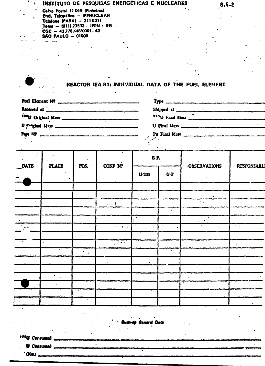#### INSTITUTO DE PESQUISAS ENERGÉTICAS E NUCLEARES

Calsa Postal 11 049 (Pinheiros) End. Telegrático<sup>-</sup> - IPENUCLEAR Telefone (PABX) - 211-6011 Telex - (011) 23592 - IPEN - BR  $CGC - 43.778.448/0001 - 43$ **SÃO PAULO - 01000** . . . . . . . .

### REACTOR IEA-R1: INDIVIDUAL DATA OF THE FUEL ELEMENT

| Fuel Element Nº                                                                                                                                                                                                                      |                                                      |  |
|--------------------------------------------------------------------------------------------------------------------------------------------------------------------------------------------------------------------------------------|------------------------------------------------------|--|
| Received at <u>in the community of the community of the community of the community of the community of the community of the community of the community of the community of the community of the community of the community of th</u> |                                                      |  |
| <sup>235</sup> U Original Mass                                                                                                                                                                                                       | <sup>235</sup> U Final Mass <u>The Communication</u> |  |
|                                                                                                                                                                                                                                      |                                                      |  |
|                                                                                                                                                                                                                                      | Pu Final Mass                                        |  |
|                                                                                                                                                                                                                                      |                                                      |  |

|      | $\ddot{\phantom{a}}$ . |                        |                             | RF.       |           |                                         |                    |  |
|------|------------------------|------------------------|-----------------------------|-----------|-----------|-----------------------------------------|--------------------|--|
| DATE | <b>PLACE</b>           | POS.                   | CONF Nº                     | $U-235$   | $U-T$     | OBSERVATIONS<br>÷                       | <b>RESPONSABLI</b> |  |
|      |                        |                        |                             |           |           |                                         |                    |  |
|      |                        |                        | $\bullet$                   |           |           | $\bullet_1 \rightarrow$                 |                    |  |
|      | $\bullet$              |                        | $\mathcal{L}_{\text{max}}$  |           |           | $\mathcal{F}^{\mathcal{A}}(\mathbf{z})$ |                    |  |
|      |                        |                        |                             |           | $\bullet$ |                                         |                    |  |
|      |                        |                        |                             |           |           |                                         |                    |  |
|      |                        |                        | $\mathbf{r}_{\mathrm{max}}$ |           | $\bullet$ |                                         |                    |  |
|      |                        | $\bullet\bullet$       | $\lambda \rightarrow 0$     | $\bullet$ |           |                                         |                    |  |
|      |                        |                        | $\frac{1}{2}$               |           |           |                                         |                    |  |
|      |                        | $\ddot{\phantom{a}}$ . | $\sim$ $\mu$                |           |           |                                         |                    |  |
|      |                        |                        |                             |           |           |                                         |                    |  |
|      |                        |                        |                             |           |           |                                         |                    |  |
|      |                        |                        |                             |           |           |                                         |                    |  |
|      |                        |                        |                             |           |           |                                         |                    |  |
|      |                        |                        |                             |           |           |                                         |                    |  |
|      |                        |                        |                             |           |           |                                         |                    |  |

lum-up General Data

<sup>335</sup>U Consumed

**U** Consumed

Obs.: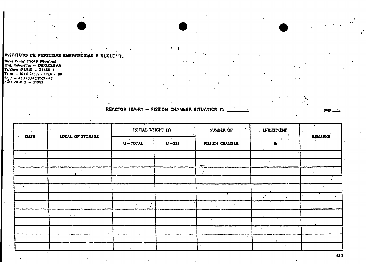#### INSTITUTO DE PESQUISAS ENERGÉTICAS E NUCLE " PL

Ceiza Postal 11043 (Pinheiros) End. Telegrifico - IPENUCLEAR Tal:fone (PASX) = 211-5011<br>Tel:fone (PASX) = 211-5011<br>Tel:x = (G11) 23532 - IPEN - BR<br>C3C = 43.778.442-0001-43  $\frac{1}{200}$  PAULO - 01000

REACTOR IEA-R1 - FISSION CHAMBER SITUATION IN

INITIAL WEIGHT (g) NUMBER OF **ENRICHMENT DATE** LOCAL OF STORAGE **REMARKS**  $\bullet$  $U - TOTAL$  $U - 235$ FISSION CHAMBER %  $\ddot{\phantom{a}}$  $\ddot{\phantom{a}}$  $\mathcal{L}$  $\cdot$  $\bullet$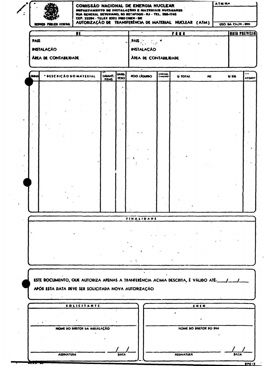|            |                                                                                        |                                         |                               |                     | COMISSÃO NACIONAL DE ENERGIA NUCLEAR<br>DEPARTAMENTO DE INSTALAÇÕES E MATERIAIS NUCLEARES |                       |                        |           | ATM N.               |  |
|------------|----------------------------------------------------------------------------------------|-----------------------------------------|-------------------------------|---------------------|-------------------------------------------------------------------------------------------|-----------------------|------------------------|-----------|----------------------|--|
|            |                                                                                        | CEP. 22294 - TELEX (021) 2100 CNEN - BR |                               |                     | RUA GENERAL SEVERIANO, SO BOTAFOGO - RJ - TEL. 285-1745                                   |                       |                        |           |                      |  |
|            | SERVICO PÚBLICO FEDERAL                                                                |                                         |                               |                     | AUTORIZAÇÃO DE TRANSFERÊNCIA DE MATERIAL NUCLEAR (ATM)                                    |                       |                        |           | USO BA CKZN - DIN    |  |
|            |                                                                                        | $\overline{\mathbf{H}}$                 |                               |                     |                                                                                           |                       | <b>PARK</b>            |           | <b>BAIL PREVISIA</b> |  |
| PAIS       |                                                                                        |                                         |                               |                     | PAIS                                                                                      |                       |                        |           |                      |  |
|            | <b>INSTALACÃO</b>                                                                      |                                         |                               |                     | <b>INSTALACÃO</b>                                                                         |                       |                        |           |                      |  |
|            | <b>ÅREA DE CONTABILIDADE</b>                                                           |                                         |                               |                     | AREA DE CONTABILIDADE                                                                     |                       |                        |           |                      |  |
|            |                                                                                        |                                         |                               |                     |                                                                                           |                       |                        |           |                      |  |
| <b>DOM</b> | * DESCRICÃO DO MATERIAL                                                                |                                         | <b>OUANT.</b><br><b>ITENS</b> | UNID.<br><b>HSO</b> | <b>HSO LIQUIDO</b>                                                                        | <b>IMRNA</b><br>CHANG | <b>U TOTAL</b>         | <b>JU</b> | U 175                |  |
|            |                                                                                        |                                         |                               |                     |                                                                                           |                       |                        |           |                      |  |
|            |                                                                                        |                                         |                               |                     |                                                                                           |                       |                        |           |                      |  |
|            |                                                                                        |                                         |                               |                     |                                                                                           |                       |                        |           |                      |  |
|            |                                                                                        |                                         |                               |                     |                                                                                           |                       |                        |           |                      |  |
|            |                                                                                        |                                         |                               |                     |                                                                                           |                       |                        |           |                      |  |
|            |                                                                                        |                                         |                               |                     |                                                                                           |                       |                        |           |                      |  |
|            |                                                                                        |                                         |                               |                     |                                                                                           |                       |                        |           |                      |  |
|            |                                                                                        |                                         |                               |                     |                                                                                           |                       |                        |           |                      |  |
|            |                                                                                        |                                         |                               |                     |                                                                                           |                       |                        |           |                      |  |
|            |                                                                                        |                                         |                               |                     |                                                                                           |                       |                        |           |                      |  |
|            |                                                                                        |                                         |                               |                     |                                                                                           |                       |                        |           |                      |  |
|            |                                                                                        |                                         |                               |                     |                                                                                           |                       |                        |           |                      |  |
|            |                                                                                        |                                         |                               |                     |                                                                                           |                       |                        |           |                      |  |
|            |                                                                                        |                                         |                               |                     |                                                                                           |                       |                        |           |                      |  |
|            |                                                                                        |                                         |                               |                     |                                                                                           |                       |                        |           |                      |  |
|            |                                                                                        |                                         |                               |                     |                                                                                           |                       |                        |           |                      |  |
|            |                                                                                        |                                         |                               |                     | <b>FINALIDADE</b>                                                                         |                       |                        |           |                      |  |
|            |                                                                                        |                                         |                               |                     |                                                                                           |                       |                        |           |                      |  |
|            |                                                                                        |                                         |                               |                     |                                                                                           |                       |                        |           |                      |  |
|            |                                                                                        |                                         |                               |                     |                                                                                           |                       |                        |           |                      |  |
|            |                                                                                        |                                         |                               |                     |                                                                                           |                       |                        |           |                      |  |
|            |                                                                                        |                                         |                               |                     | $\sim$ $\sim$                                                                             |                       |                        |           |                      |  |
|            |                                                                                        |                                         |                               |                     |                                                                                           |                       |                        |           |                      |  |
|            |                                                                                        |                                         |                               |                     |                                                                                           |                       |                        |           |                      |  |
|            | ESTE DOCUMENTO, QUE AUTORIZA APENAS A TRANFERÊNCIA ACIMA DESCRITA, É VÁLIDO ATÉ:___/__ |                                         |                               |                     |                                                                                           |                       |                        |           |                      |  |
|            | APÓS ESTA DATA DEVE SER SOLICITADA NOVA AUTORIZAÇÃO                                    |                                         |                               |                     |                                                                                           |                       |                        |           |                      |  |
|            |                                                                                        |                                         |                               |                     |                                                                                           |                       |                        |           |                      |  |
|            |                                                                                        | SOLICITANTE                             |                               |                     |                                                                                           |                       |                        | CNEN      |                      |  |
|            |                                                                                        |                                         |                               |                     |                                                                                           |                       |                        |           |                      |  |
|            |                                                                                        | NOME DO DIRETOR DA HISTALAÇÃO           |                               |                     |                                                                                           |                       | NOME DO DIRETOR DO DIN |           |                      |  |
|            |                                                                                        |                                         |                               |                     |                                                                                           |                       |                        |           |                      |  |
|            |                                                                                        |                                         |                               |                     |                                                                                           |                       |                        |           |                      |  |
|            |                                                                                        |                                         |                               |                     |                                                                                           |                       |                        |           |                      |  |

 $\overline{OPC}$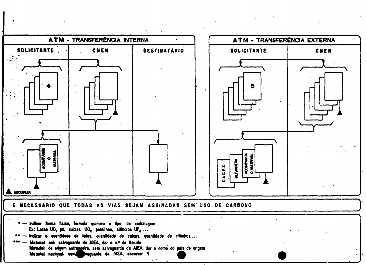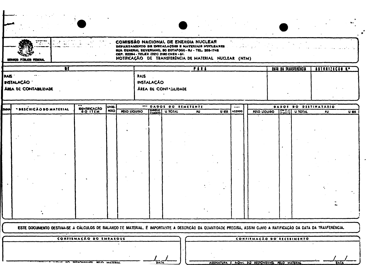|             | SERVICO FÚBLICO FEDERAL<br>$\overline{\mathbf{H}}$ |              |                                              | CEP. 22294 - TELEX (021) 2180 CHEN - SF. | COMISSÃO NACIONAL DE ENERGIA NUCLEAR<br>RUA GENERAL SEVERIANO, SO EOTAFOGO - RJ - TEL. 205-1745 | DEPARTAMENTO DE DISTALAÇÕES E MATERIAIS NUCLEARES<br>NOTIFICAÇÃO DE TRANSFERÊNCIA DE MATERIAL NUCLEAR (NTM)<br>FIRE |                           |                     | DAIA DA TALISFEREICH                                  |                 |         |
|-------------|----------------------------------------------------|--------------|----------------------------------------------|------------------------------------------|-------------------------------------------------------------------------------------------------|---------------------------------------------------------------------------------------------------------------------|---------------------------|---------------------|-------------------------------------------------------|-----------------|---------|
| <b>PAIS</b> | INSTALAÇÃO ·<br>AREA DE CONTABILIDADE              |              |                                              | <b>PAIS</b><br><b>INSTALAÇÃO</b>         | AREA DE CONTAGILIDADE                                                                           |                                                                                                                     |                           |                     |                                                       | AUTORIZAÇÃO E.º |         |
| لمعمط       | * BESCHICAO BO MATERIAL                            | DENTIFICAÇÃO | JUNID.<br><b>PESO</b><br><b>PESO LÍQUIDO</b> |                                          | *** DADOS DO REMETENTE<br>CHANGE U. TOTAL                                                       | $\overline{M}$<br><b>U 235</b>                                                                                      | $\cdots$<br><b>ACO100</b> | <b>PESO LIQUIDO</b> | <b>OADOS DO DESTINATÁRIO</b><br><b>ENSAIL U TOTAL</b> | $\overline{P}$  | $U$ 125 |
|             |                                                    |              |                                              |                                          |                                                                                                 |                                                                                                                     |                           |                     |                                                       |                 |         |

ESTE DOCURAENTO DESTINA-SE A CÁLCULOS DE BALANÇO DE MATERIAL, É IMPORTANTE A DESCRICÁO DA QUANTIDADE PRECISA, ASSIM CUMO A RATIFICAÇÃO DA DATA DA TRANFERÊNCIA.

|  | CONFIRMAÇÃO DO EMPARQUE |  |  |  |  |
|--|-------------------------|--|--|--|--|

AN BEGINNELVEL BELO MATERAL

**TANA** 

 $\bullet$ 

CONFIRMAÇÃO DO RECEBIMENTO 9

DATA

| ASSINATURA E NOME DO RESPONSÁVEL PELO MATERIAL |  |
|------------------------------------------------|--|
|                                                |  |

DATA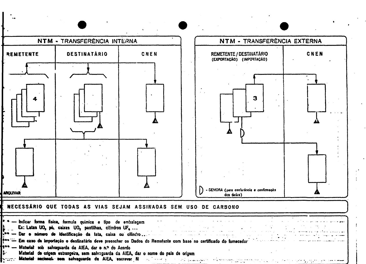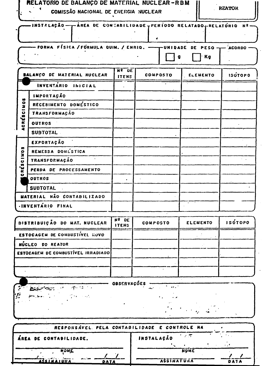|                               | RELATÓRIO DE BALANÇO DE MATERIAL NUCLEAR-RBM<br>COMISSÃO NACIONAL DE ENERGIA NUCLEAR |                              |                         |                 | <b>REATOR</b>  |
|-------------------------------|--------------------------------------------------------------------------------------|------------------------------|-------------------------|-----------------|----------------|
|                               | -INSTALAÇÃO — - ÁREA DE CONTABILIDADE - PERÍODO RELATADO - RELATÓRIO                 |                              |                         |                 | N <sup>2</sup> |
|                               | FORMA FÍSICA / FORMULA QUIM. / ENRIQ. -- TUNIDADE DE PESO-T                          |                              |                         | Кg<br>g         | - ACORDO       |
|                               | <b>BALANCO DE MATERIAL NUCLEAR</b>                                                   | <b>Nº DE</b><br><b>ITENS</b> | <b>COMPOSTO</b>         | ELEMENTO        | <b>ISÚTOPO</b> |
|                               | INVENTÁRIO INICIAL                                                                   |                              |                         |                 |                |
|                               | <b>IMPORTAÇÃO</b>                                                                    |                              |                         |                 |                |
| n                             | RECEBIMENTO DOMÉSTICO                                                                |                              |                         |                 |                |
| ESCINO                        | TRANSFORMAÇÃO                                                                        |                              |                         |                 |                |
| ACRI                          | <b>OUTROS</b>                                                                        |                              |                         |                 |                |
|                               | <b>SUBTOTAL</b>                                                                      |                              |                         |                 |                |
|                               | EXPORTAÇÃO                                                                           |                              |                         |                 |                |
| n                             | REMESSA DOMESTICA                                                                    |                              |                         |                 |                |
| ion1<br>$\ddot{\mathbf{c}}$   | <b>TRANSFORMAÇÃO</b>                                                                 |                              |                         |                 |                |
| $\bar{\mathbf{v}}$<br>۱J<br>Œ | PERDA DE PROCESSAMENTO                                                               |                              |                         |                 |                |
| $\bullet$                     | <b>OUTROS</b>                                                                        | ٠                            |                         |                 |                |
|                               | <b>SUBTOTAL</b>                                                                      |                              |                         |                 |                |
|                               | MATERIAL NÃO CONTABILIZADO                                                           |                              |                         |                 |                |
|                               | .INVENTARIO FINAL                                                                    |                              |                         |                 |                |
|                               | DISTRIBUIÇÃO DO MAT. NUCLEAR                                                         | Nº DE<br><b>ITENS</b>        | COMPOSTO                | <b>ELEMENTO</b> | <b>ISÓTOPO</b> |
|                               | ESTOCAGEM DE COMBUSTIVEL NOVO                                                        |                              |                         |                 |                |
|                               | NÚCLEO DO REATOR                                                                     |                              |                         |                 |                |
|                               | ESTOCAGEM DE COMBUSTÍVEL IRRADIADO                                                   |                              |                         |                 |                |
|                               |                                                                                      |                              |                         |                 |                |
|                               |                                                                                      |                              |                         |                 |                |
|                               |                                                                                      |                              |                         |                 |                |
| P                             | 医细胞 化二乙基                                                                             | OBSERVAÇÕES                  | $\sim 100$ km s $^{-1}$ |                 |                |

| RESPONSÁVEL PELA CONTABILIDADE E CONTROLE NA |                   |  |
|----------------------------------------------|-------------------|--|
| ÁREA DE CONTABILIDADE.                       | INSTALAÇÃO        |  |
|                                              |                   |  |
| NOWE                                         | <b>NOME</b>       |  |
|                                              |                   |  |
| Adsinaiuna<br>DATA                           | <b>ASSIMATURA</b> |  |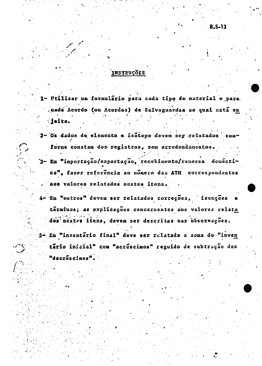#### INSTRUÇÕES

- 1- Utilizar um formulário para cada tipo de material e para. .cada Acordo (ou Acordos) de Salvaguardas ao qual está su :jeito.
- 2- Os dados de elemento e isotopo deven ser relatados conforne constam dos registros, sem arredondamentos.
- '3- En "importação/exportação, recebimento/renessa donéstica", fazer referência ao número das ATM correspondentes aos valores relatados nestes itens.
- 4- Em "outros" devem ser relatados correções, isenções términos; as explicações concernentes aos valores relata dos nestes itens, devem ser descritas nas observações. 5- Em "inventário final" deve ser relatada a soma do "inven tário inicial" com "acréscimos" reguido de subtração dos "decréscimos".

8,5-13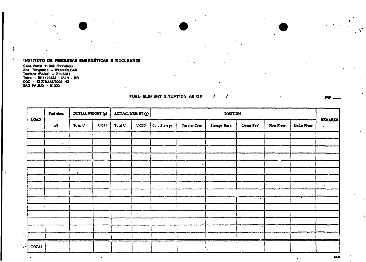#### INSTITUTO DE PESQUISAS ENÉRGÉTICAS E NUCLEARES

Caixa Postal 11 049 (Pinheiron)<br>Caixa Postal 11 049 (Pinheiron)<br>End. Teloprafico - IPENUCLEAR<br>Teletone (PABX) - 211-5011<br>CGC - 43378.448/0001-43<br>SÃO PAULO - 01000

| $\sim$       | Fuel elem. | INITIAL WEIGHT (g) |           | ACTUAL WEIGHT (g) |       |              |              | <b>POSITION</b> |            |             |             |                |
|--------------|------------|--------------------|-----------|-------------------|-------|--------------|--------------|-----------------|------------|-------------|-------------|----------------|
| LOAD         | nt         | Total U            | $U-235$   | Toul U            | U.235 | Cold Storage | Reactor Core | Storage Rack    | Decay Pool | First Floor | Under Floor | <b>REMARKS</b> |
|              |            |                    |           |                   |       |              |              |                 |            |             |             |                |
|              | $\sim$     |                    |           |                   |       |              |              |                 |            |             |             |                |
|              |            |                    |           |                   |       |              |              |                 |            |             |             |                |
|              |            |                    |           |                   |       |              |              |                 |            |             |             |                |
|              |            | $\bullet$          |           |                   |       |              | ÷            |                 |            |             |             |                |
|              |            | $\bullet$          |           |                   |       |              |              |                 |            |             | $\sim$      |                |
|              |            |                    |           |                   |       |              |              |                 | $\sim$     |             |             | $\bullet$      |
|              |            |                    |           |                   |       |              |              |                 |            |             | $\cdot$     | $\bullet$      |
|              |            |                    |           |                   |       | $\bullet$    |              |                 |            |             |             |                |
|              |            | $\bullet$          |           |                   |       |              |              | $\bullet$       |            |             |             |                |
|              |            |                    | $\bullet$ |                   |       |              |              |                 |            |             |             |                |
|              |            |                    |           |                   |       |              |              | $\sim$          |            |             |             |                |
|              |            |                    |           |                   |       |              |              |                 |            |             |             |                |
|              |            |                    |           |                   |       |              |              |                 |            |             |             |                |
| <b>IOTAL</b> |            |                    |           |                   |       |              |              |                 |            |             |             |                |

FUEL ELEMENT SITUATION AS OF  $\sim$ 

1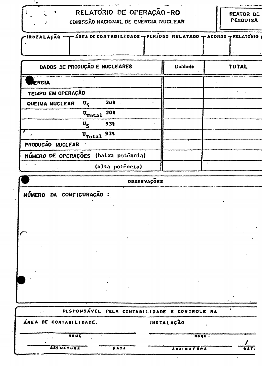

## RELATORIO DE OPERAÇÃO-RO COMISSÃO NACIONAL DE ENERGIA NUCLEAR

REATOR DE

**PESQUISA** 

| FIRUTALAÇÃO -- AREA DE CONTABILIDADE - PERIODO RELATADO - ACORDO TRELATÓRIO |  |  |
|-----------------------------------------------------------------------------|--|--|
|                                                                             |  |  |
|                                                                             |  |  |
|                                                                             |  |  |

| <b>DADOS DE PRODUÇÃO E NUCLEARES</b>                      | <b><i><u>Unidade</u></i></b> | <b>TOTAL</b>         |
|-----------------------------------------------------------|------------------------------|----------------------|
| RERGIA                                                    |                              |                      |
| TEMPO EM OPERAÇÃO                                         |                              |                      |
| 201<br>$\mathbf{u}_{\mathbf{r}}$<br><b>OUEIMA NUCLEAR</b> |                              | $\ddot{\phantom{1}}$ |
| 20%<br>$\mathbf{u}_{\text{Total}}$                        |                              |                      |
| $\mathbf{u}_{\mathbf{S}}$<br>931<br>٠.                    |                              |                      |
| 938<br>$\mathbf{U}_{\text{Total}}$                        |                              |                      |
| PRODUÇÃO NUCLEAR                                          |                              |                      |
| NÚMERO DE OPERAÇÕES (baixa potência)                      |                              |                      |
| (alta poténcia)                                           |                              |                      |

### OBSERVAÇÕES

NÚMERO DA CONFIGURAÇÃO :

|                        |      | RESPONSÁVEL PELA CONTABILIDADE E CONTROLE NA |             |
|------------------------|------|----------------------------------------------|-------------|
| ÁREA DE CONTABILIDADE. |      | INSTALAÇÃO                                   |             |
| <b>NOKE</b>            |      | NOYE.                                        |             |
| <b>ASSINATURA</b>      | DATA | ASSINATURA                                   | <b>DATI</b> |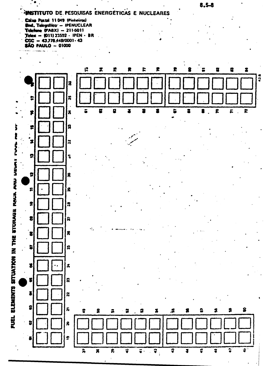### HNSTITUTO DE PESQUISAS ENERGÉTICAS E NUCLEARES

Calso Postal 11049 (Pinheiros) End. Telegráfico - IPENUCLEAR Telefone (PABX) - 211-6011 Telex  $-$  (011) 23592 - IPEN - BR  $CGC = 43.778.448/0001 - 43$ **SÃO PAULO - 01000** 



 $8,5 - 8$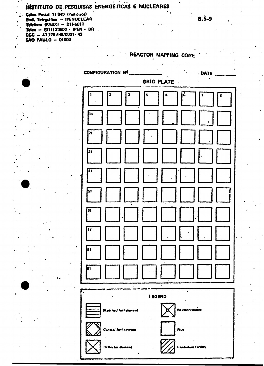### INSTITUTO DE PESQUISAS ENERGÉTICAS E NUCLEARES

Caixa Postal 11 049 (Pinheiros)<br>
End. Telegrafico - IPENUCLEAR<br>
Telefone (PABX) - 211-6011 Telex - (011) 23592 - IPEN - BR  $CGC = 43.778.448/0001 - 43$ SÃO PAULO - 01000

**REACTOR MAPPING CORE** 

| <b>CONFIGURATION Nº.</b>     |                | <b>DATE</b>                  |  |  |  |
|------------------------------|----------------|------------------------------|--|--|--|
| GRID PLATE                   |                |                              |  |  |  |
| $\mathbf{a}$<br>2<br>1<br>4  | $\bullet$      | 6<br>$\overline{\mathbf{r}}$ |  |  |  |
| h,                           |                |                              |  |  |  |
| 21                           |                |                              |  |  |  |
| ļ31                          |                |                              |  |  |  |
| k,                           |                |                              |  |  |  |
| 51                           |                |                              |  |  |  |
| G1                           |                |                              |  |  |  |
| $\overline{\mathbf{v}}$      |                |                              |  |  |  |
| ls 1                         |                |                              |  |  |  |
| 91                           |                |                              |  |  |  |
|                              |                |                              |  |  |  |
| <b>Standurd fuel element</b> | <b>I EGEND</b> | <b>Neutron source</b>        |  |  |  |
| <b>Contral full element</b>  |                | Mus                          |  |  |  |

Heffector element

**Treadration Incility**